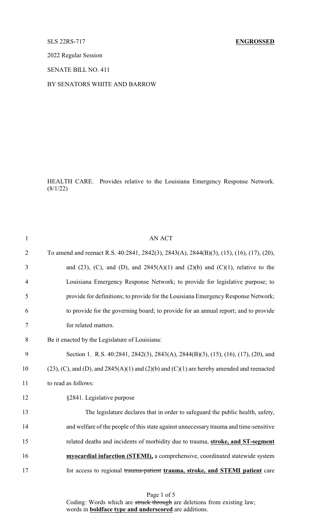## SLS 22RS-717 **ENGROSSED**

2022 Regular Session

SENATE BILL NO. 411

## BY SENATORS WHITE AND BARROW

HEALTH CARE. Provides relative to the Louisiana Emergency Response Network.  $(8/1/22)$ 

| $\mathbf{1}$   | <b>AN ACT</b>                                                                                      |
|----------------|----------------------------------------------------------------------------------------------------|
| $\overline{2}$ | To amend and reenact R.S. 40:2841, 2842(3), 2843(A), 2844(B)(3), (15), (16), (17), (20),           |
| 3              | and (23), (C), and (D), and $2845(A)(1)$ and (2)(b) and (C)(1), relative to the                    |
| $\overline{4}$ | Louisiana Emergency Response Network; to provide for legislative purpose; to                       |
| 5              | provide for definitions; to provide for the Louisiana Emergency Response Network;                  |
| 6              | to provide for the governing board; to provide for an annual report; and to provide                |
| 7              | for related matters.                                                                               |
| 8              | Be it enacted by the Legislature of Louisiana:                                                     |
| 9              | Section 1. R.S. 40:2841, 2842(3), 2843(A), 2844(B)(3), (15), (16), (17), (20), and                 |
| 10             | $(23)$ , (C), and (D), and $2845(A)(1)$ and $(2)(b)$ and $(C)(1)$ are hereby amended and reenacted |
| 11             | to read as follows:                                                                                |
| 12             | §2841. Legislative purpose                                                                         |
| 13             | The legislature declares that in order to safeguard the public health, safety,                     |
| 14             | and welfare of the people of this state against unnecessary trauma and time-sensitive              |
| 15             | related deaths and incidents of morbidity due to trauma, stroke, and ST-segment                    |
| 16             | myocardial infarction (STEMI), a comprehensive, coordinated statewide system                       |
| 17             | for access to regional trauma-patient trauma, stroke, and STEMI patient care                       |
|                |                                                                                                    |

Page 1 of 5 Coding: Words which are struck through are deletions from existing law; words in **boldface type and underscored** are additions.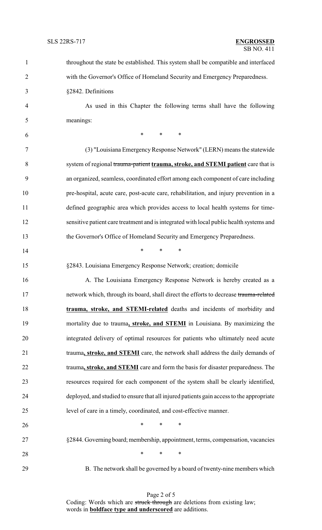| $\mathbf{1}$   | throughout the state be established. This system shall be compatible and interfaced      |
|----------------|------------------------------------------------------------------------------------------|
| $\overline{2}$ | with the Governor's Office of Homeland Security and Emergency Preparedness.              |
| 3              | §2842. Definitions                                                                       |
| $\overline{4}$ | As used in this Chapter the following terms shall have the following                     |
| 5              | meanings:                                                                                |
| 6              | $\ast$<br>$\ast$<br>∗                                                                    |
| 7              | (3) "Louisiana Emergency Response Network" (LERN) means the statewide                    |
| 8              | system of regional trauma-patient trauma, stroke, and STEMI patient care that is         |
| 9              | an organized, seamless, coordinated effort among each component of care including        |
| 10             | pre-hospital, acute care, post-acute care, rehabilitation, and injury prevention in a    |
| 11             | defined geographic area which provides access to local health systems for time-          |
| 12             | sensitive patient care treatment and is integrated with local public health systems and  |
| 13             | the Governor's Office of Homeland Security and Emergency Preparedness.                   |
| 14             | $\ast$<br>$\ast$<br>$\ast$                                                               |
| 15             | §2843. Louisiana Emergency Response Network; creation; domicile                          |
| 16             | A. The Louisiana Emergency Response Network is hereby created as a                       |
| 17             | network which, through its board, shall direct the efforts to decrease trauma-related    |
| 18             | trauma, stroke, and STEMI-related deaths and incidents of morbidity and                  |
| 19             | mortality due to trauma, stroke, and STEMI in Louisiana. By maximizing the               |
| 20             | integrated delivery of optimal resources for patients who ultimately need acute          |
| 21             | trauma, stroke, and STEMI care, the network shall address the daily demands of           |
| 22             | trauma, stroke, and STEMI care and form the basis for disaster preparedness. The         |
| 23             | resources required for each component of the system shall be clearly identified,         |
| 24             | deployed, and studied to ensure that all injured patients gain access to the appropriate |
| 25             | level of care in a timely, coordinated, and cost-effective manner.                       |
| 26             | $*$ and $*$<br>$\ast$<br>$\ast$                                                          |
| 27             | §2844. Governing board; membership, appointment, terms, compensation, vacancies          |
| 28             | $\ast$<br>$\ast$<br>∗                                                                    |
| 29             | B. The network shall be governed by a board of twenty-nine members which                 |

Page 2 of 5 Coding: Words which are struck through are deletions from existing law; words in **boldface type and underscored** are additions.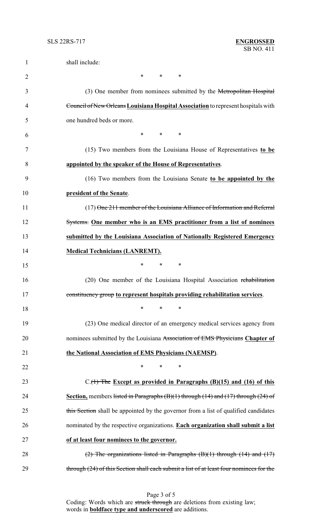| 1  | shall include:                                                                                    |
|----|---------------------------------------------------------------------------------------------------|
| 2  | $*$ and $*$<br>*<br>∗                                                                             |
| 3  | (3) One member from nominees submitted by the Metropolitan Hospital                               |
| 4  | Council of New Orleans Louisiana Hospital Association to represent hospitals with                 |
| 5  | one hundred beds or more.                                                                         |
| 6  | $\ast$<br>$\ast$<br>∗                                                                             |
| 7  | (15) Two members from the Louisiana House of Representatives to be                                |
| 8  | appointed by the speaker of the House of Representatives.                                         |
| 9  | (16) Two members from the Louisiana Senate to be appointed by the                                 |
| 10 | president of the Senate.                                                                          |
| 11 | (17) One 211 member of the Louisiana Alliance of Information and Referral                         |
| 12 | Systems. One member who is an EMS practitioner from a list of nominees                            |
| 13 | submitted by the Louisiana Association of Nationally Registered Emergency                         |
| 14 | <b>Medical Technicians (LANREMT).</b>                                                             |
| 15 | $\ast$<br>*<br>∗                                                                                  |
| 16 | (20) One member of the Louisiana Hospital Association rehabilitation                              |
| 17 | constituency group to represent hospitals providing rehabilitation services.                      |
| 18 | $\ast$<br>∗<br>∗                                                                                  |
| 19 | (23) One medical director of an emergency medical services agency from                            |
| 20 | nominees submitted by the Louisiana Association of EMS Physicians Chapter of                      |
| 21 | the National Association of EMS Physicians (NAEMSP).                                              |
| 22 | $\ast$<br>*<br>*                                                                                  |
| 23 | $C_{\cdot}(1)$ The Except as provided in Paragraphs (B)(15) and (16) of this                      |
| 24 | <b>Section,</b> members listed in Paragraphs $(B)(1)$ through $(14)$ and $(17)$ through $(24)$ of |
| 25 | this Section shall be appointed by the governor from a list of qualified candidates               |
| 26 | nominated by the respective organizations. Each organization shall submit a list                  |
| 27 | of at least four nominees to the governor.                                                        |
| 28 | $(2)$ The organizations listed in Paragraphs $(B)(1)$ through $(14)$ and $(17)$                   |
| 29 | through (24) of this Section shall each submit a list of at least four nominees for the           |

Page 3 of 5 Coding: Words which are struck through are deletions from existing law; words in **boldface type and underscored** are additions.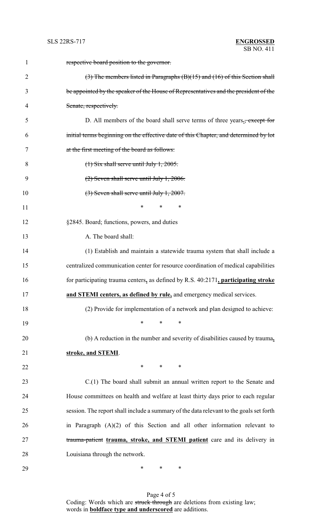| $\mathbf{1}$   | respective board position to the governor.                                              |
|----------------|-----------------------------------------------------------------------------------------|
| $\overline{2}$ | $(3)$ The members listed in Paragraphs $(B)(15)$ and $(16)$ of this Section shall       |
| 3              | be appointed by the speaker of the House of Representatives and the president of the    |
| 4              | Senate, respectively.                                                                   |
| 5              | D. All members of the board shall serve terms of three years., except for               |
| 6              | initial terms beginning on the effective date of this Chapter, and determined by lot    |
| 7              | at the first meeting of the board as follows:                                           |
| 8              | $(1)$ Six shall serve until July 1, 2005.                                               |
| 9              | $(2)$ Seven shall serve until July 1, 2006.                                             |
| 10             | $(3)$ Seven shall serve until July 1, 2007.                                             |
| 11             | *<br>$\ast$<br>∗                                                                        |
| 12             | §2845. Board; functions, powers, and duties                                             |
| 13             | A. The board shall:                                                                     |
| 14             | (1) Establish and maintain a statewide trauma system that shall include a               |
| 15             | centralized communication center for resource coordination of medical capabilities      |
| 16             | for participating trauma centers, as defined by R.S. 40:2171, participating stroke      |
| 17             | and STEMI centers, as defined by rule, and emergency medical services.                  |
| 18             | (2) Provide for implementation of a network and plan designed to achieve:               |
| 19             | *<br>$\ast$<br>∗                                                                        |
| 20             | (b) A reduction in the number and severity of disabilities caused by trauma,            |
| 21             | stroke, and STEMI.                                                                      |
| 22             | $*$ $*$<br>$\ast$<br>∗                                                                  |
| 23             | $C(1)$ The board shall submit an annual written report to the Senate and                |
| 24             | House committees on health and welfare at least thirty days prior to each regular       |
| 25             | session. The report shall include a summary of the data relevant to the goals set forth |
| 26             | in Paragraph $(A)(2)$ of this Section and all other information relevant to             |
| 27             | trauma-patient trauma, stroke, and STEMI patient care and its delivery in               |
| 28             | Louisiana through the network.                                                          |
| 29             | ∗<br>∗<br>∗                                                                             |

Page 4 of 5 Coding: Words which are struck through are deletions from existing law; words in **boldface type and underscored** are additions.